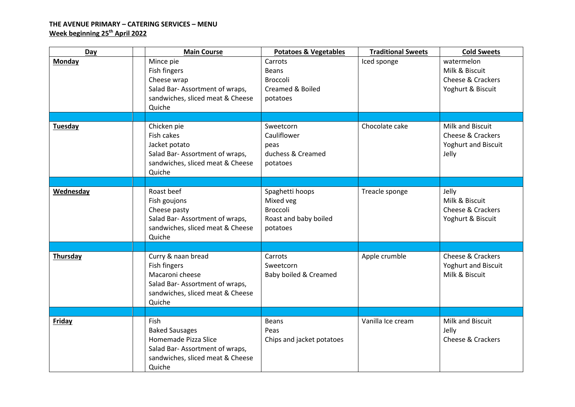# **THE AVENUE PRIMARY – CATERING SERVICES – MENU Week beginning 25 th April 2022**

| Day           | <b>Main Course</b>                                                                                                                    | <b>Potatoes &amp; Vegetables</b>                                                     | <b>Traditional Sweets</b> | <b>Cold Sweets</b>                                                                      |
|---------------|---------------------------------------------------------------------------------------------------------------------------------------|--------------------------------------------------------------------------------------|---------------------------|-----------------------------------------------------------------------------------------|
| Monday        | Mince pie<br>Fish fingers<br>Cheese wrap<br>Salad Bar-Assortment of wraps,<br>sandwiches, sliced meat & Cheese<br>Quiche              | Carrots<br><b>Beans</b><br><b>Broccoli</b><br>Creamed & Boiled<br>potatoes           | Iced sponge               | watermelon<br>Milk & Biscuit<br>Cheese & Crackers<br>Yoghurt & Biscuit                  |
|               |                                                                                                                                       |                                                                                      |                           |                                                                                         |
| Tuesday       | Chicken pie<br>Fish cakes<br>Jacket potato<br>Salad Bar-Assortment of wraps,<br>sandwiches, sliced meat & Cheese<br>Quiche            | Sweetcorn<br>Cauliflower<br>peas<br>duchess & Creamed<br>potatoes                    | Chocolate cake            | Milk and Biscuit<br><b>Cheese &amp; Crackers</b><br><b>Yoghurt and Biscuit</b><br>Jelly |
|               |                                                                                                                                       |                                                                                      |                           |                                                                                         |
| Wednesday     | Roast beef<br>Fish goujons<br>Cheese pasty<br>Salad Bar-Assortment of wraps,<br>sandwiches, sliced meat & Cheese<br>Quiche            | Spaghetti hoops<br>Mixed veg<br><b>Broccoli</b><br>Roast and baby boiled<br>potatoes | Treacle sponge            | Jelly<br>Milk & Biscuit<br>Cheese & Crackers<br>Yoghurt & Biscuit                       |
|               |                                                                                                                                       |                                                                                      |                           |                                                                                         |
| Thursday      | Curry & naan bread<br>Fish fingers<br>Macaroni cheese<br>Salad Bar-Assortment of wraps,<br>sandwiches, sliced meat & Cheese<br>Quiche | Carrots<br>Sweetcorn<br>Baby boiled & Creamed                                        | Apple crumble             | Cheese & Crackers<br>Yoghurt and Biscuit<br>Milk & Biscuit                              |
|               |                                                                                                                                       |                                                                                      |                           |                                                                                         |
| <b>Friday</b> | Fish<br><b>Baked Sausages</b><br>Homemade Pizza Slice<br>Salad Bar-Assortment of wraps,<br>sandwiches, sliced meat & Cheese<br>Quiche | <b>Beans</b><br>Peas<br>Chips and jacket potatoes                                    | Vanilla Ice cream         | Milk and Biscuit<br>Jelly<br>Cheese & Crackers                                          |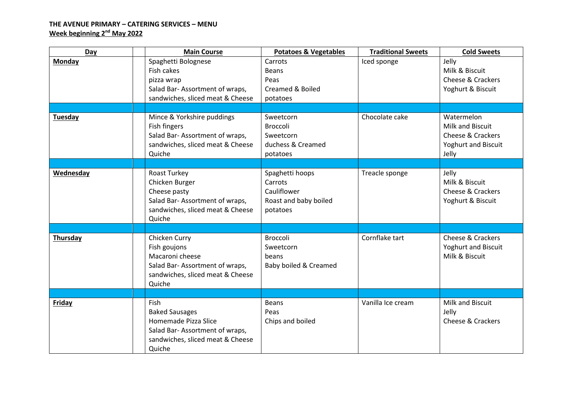# **THE AVENUE PRIMARY – CATERING SERVICES – MENU Week beginning 2 nd May 2022**

| Day            | <b>Main Course</b>                                                                                                                    | <b>Potatoes &amp; Vegetables</b>                                               | <b>Traditional Sweets</b> | <b>Cold Sweets</b>                                                           |
|----------------|---------------------------------------------------------------------------------------------------------------------------------------|--------------------------------------------------------------------------------|---------------------------|------------------------------------------------------------------------------|
| <b>Monday</b>  | Spaghetti Bolognese<br>Fish cakes                                                                                                     | Carrots<br><b>Beans</b>                                                        | Iced sponge               | Jelly<br>Milk & Biscuit                                                      |
|                | pizza wrap                                                                                                                            | Peas                                                                           |                           | <b>Cheese &amp; Crackers</b>                                                 |
|                | Salad Bar-Assortment of wraps,                                                                                                        | <b>Creamed &amp; Boiled</b>                                                    |                           | Yoghurt & Biscuit                                                            |
|                | sandwiches, sliced meat & Cheese                                                                                                      | potatoes                                                                       |                           |                                                                              |
|                |                                                                                                                                       |                                                                                |                           |                                                                              |
| <b>Tuesday</b> | Mince & Yorkshire puddings<br>Fish fingers<br>Salad Bar-Assortment of wraps,<br>sandwiches, sliced meat & Cheese                      | Sweetcorn<br><b>Broccoli</b><br>Sweetcorn<br>duchess & Creamed                 | Chocolate cake            | Watermelon<br>Milk and Biscuit<br>Cheese & Crackers<br>Yoghurt and Biscuit   |
|                | Quiche                                                                                                                                | potatoes                                                                       |                           | Jelly                                                                        |
|                |                                                                                                                                       |                                                                                |                           |                                                                              |
| Wednesday      | Roast Turkey<br>Chicken Burger<br>Cheese pasty<br>Salad Bar-Assortment of wraps,<br>sandwiches, sliced meat & Cheese<br>Quiche        | Spaghetti hoops<br>Carrots<br>Cauliflower<br>Roast and baby boiled<br>potatoes | Treacle sponge            | Jelly<br>Milk & Biscuit<br><b>Cheese &amp; Crackers</b><br>Yoghurt & Biscuit |
|                |                                                                                                                                       |                                                                                |                           |                                                                              |
| Thursday       | Chicken Curry<br>Fish goujons<br>Macaroni cheese<br>Salad Bar-Assortment of wraps,<br>sandwiches, sliced meat & Cheese<br>Quiche      | <b>Broccoli</b><br>Sweetcorn<br>beans<br>Baby boiled & Creamed                 | Cornflake tart            | Cheese & Crackers<br><b>Yoghurt and Biscuit</b><br>Milk & Biscuit            |
|                |                                                                                                                                       |                                                                                |                           |                                                                              |
| Friday         | Fish<br><b>Baked Sausages</b><br>Homemade Pizza Slice<br>Salad Bar-Assortment of wraps,<br>sandwiches, sliced meat & Cheese<br>Quiche | <b>Beans</b><br>Peas<br>Chips and boiled                                       | Vanilla Ice cream         | Milk and Biscuit<br>Jelly<br><b>Cheese &amp; Crackers</b>                    |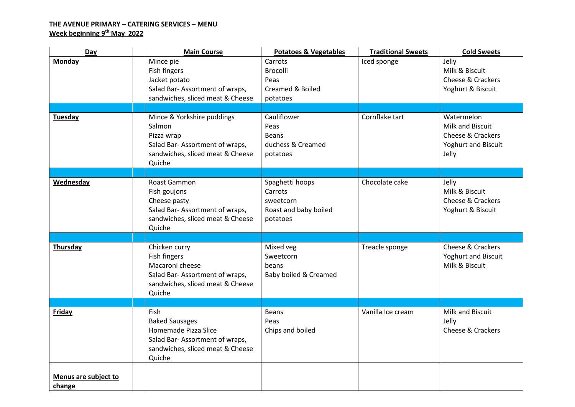# **THE AVENUE PRIMARY – CATERING SERVICES – MENU Week beginning 9 th May 2022**

| Day                            | <b>Main Course</b>                                                                                                                           | <b>Potatoes &amp; Vegetables</b>                                             | <b>Traditional Sweets</b> | <b>Cold Sweets</b>                                                                  |
|--------------------------------|----------------------------------------------------------------------------------------------------------------------------------------------|------------------------------------------------------------------------------|---------------------------|-------------------------------------------------------------------------------------|
| Monday                         | Mince pie<br>Fish fingers<br>Jacket potato<br>Salad Bar-Assortment of wraps,<br>sandwiches, sliced meat & Cheese                             | Carrots<br><b>Brocolli</b><br>Peas<br>Creamed & Boiled<br>potatoes           | Iced sponge               | Jelly<br>Milk & Biscuit<br>Cheese & Crackers<br>Yoghurt & Biscuit                   |
| <b>Tuesday</b>                 | Mince & Yorkshire puddings<br>Salmon<br>Pizza wrap<br>Salad Bar-Assortment of wraps,<br>sandwiches, sliced meat & Cheese<br>Quiche           | Cauliflower<br>Peas<br><b>Beans</b><br>duchess & Creamed<br>potatoes         | Cornflake tart            | Watermelon<br>Milk and Biscuit<br>Cheese & Crackers<br>Yoghurt and Biscuit<br>Jelly |
|                                |                                                                                                                                              |                                                                              |                           |                                                                                     |
| Wednesday                      | Roast Gammon<br>Fish goujons<br>Cheese pasty<br>Salad Bar-Assortment of wraps,<br>sandwiches, sliced meat & Cheese<br>Quiche                 | Spaghetti hoops<br>Carrots<br>sweetcorn<br>Roast and baby boiled<br>potatoes | Chocolate cake            | Jelly<br>Milk & Biscuit<br>Cheese & Crackers<br>Yoghurt & Biscuit                   |
|                                |                                                                                                                                              |                                                                              |                           |                                                                                     |
| Thursday                       | Chicken curry<br>Fish fingers<br>Macaroni cheese<br>Salad Bar-Assortment of wraps,<br>sandwiches, sliced meat & Cheese<br>Quiche             | Mixed veg<br>Sweetcorn<br>beans<br>Baby boiled & Creamed                     | Treacle sponge            | Cheese & Crackers<br>Yoghurt and Biscuit<br>Milk & Biscuit                          |
|                                |                                                                                                                                              |                                                                              |                           |                                                                                     |
| <b>Friday</b>                  | <b>Fish</b><br><b>Baked Sausages</b><br>Homemade Pizza Slice<br>Salad Bar-Assortment of wraps,<br>sandwiches, sliced meat & Cheese<br>Quiche | <b>Beans</b><br>Peas<br>Chips and boiled                                     | Vanilla Ice cream         | Milk and Biscuit<br>Jelly<br>Cheese & Crackers                                      |
| Menus are subject to<br>change |                                                                                                                                              |                                                                              |                           |                                                                                     |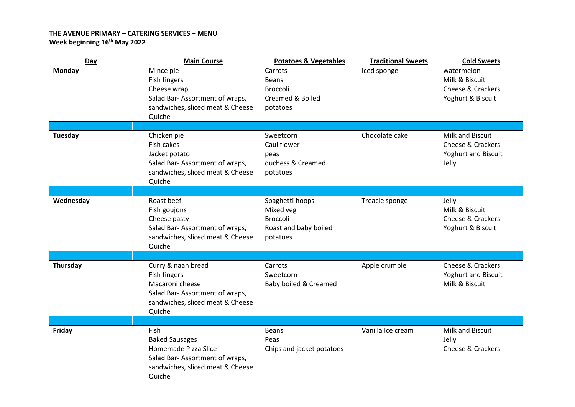### **THE AVENUE PRIMARY – CATERING SERVICES – MENU Week beginning 16th May 2022**

| Day            | <b>Main Course</b>                                                                                                                    | <b>Potatoes &amp; Vegetables</b>                                                     | <b>Traditional Sweets</b> | <b>Cold Sweets</b>                                                                      |
|----------------|---------------------------------------------------------------------------------------------------------------------------------------|--------------------------------------------------------------------------------------|---------------------------|-----------------------------------------------------------------------------------------|
| Monday         | Mince pie<br>Fish fingers<br>Cheese wrap<br>Salad Bar-Assortment of wraps,<br>sandwiches, sliced meat & Cheese<br>Quiche              | Carrots<br><b>Beans</b><br><b>Broccoli</b><br>Creamed & Boiled<br>potatoes           | Iced sponge               | watermelon<br>Milk & Biscuit<br>Cheese & Crackers<br>Yoghurt & Biscuit                  |
|                |                                                                                                                                       |                                                                                      |                           |                                                                                         |
| <b>Tuesday</b> | Chicken pie<br>Fish cakes<br>Jacket potato<br>Salad Bar-Assortment of wraps,<br>sandwiches, sliced meat & Cheese<br>Quiche            | Sweetcorn<br>Cauliflower<br>peas<br>duchess & Creamed<br>potatoes                    | Chocolate cake            | Milk and Biscuit<br><b>Cheese &amp; Crackers</b><br><b>Yoghurt and Biscuit</b><br>Jelly |
|                |                                                                                                                                       |                                                                                      |                           |                                                                                         |
| Wednesday      | Roast beef<br>Fish goujons<br>Cheese pasty<br>Salad Bar-Assortment of wraps,<br>sandwiches, sliced meat & Cheese<br>Quiche            | Spaghetti hoops<br>Mixed veg<br><b>Broccoli</b><br>Roast and baby boiled<br>potatoes | Treacle sponge            | Jelly<br>Milk & Biscuit<br>Cheese & Crackers<br>Yoghurt & Biscuit                       |
|                |                                                                                                                                       |                                                                                      |                           |                                                                                         |
| Thursday       | Curry & naan bread<br>Fish fingers<br>Macaroni cheese<br>Salad Bar-Assortment of wraps,<br>sandwiches, sliced meat & Cheese<br>Quiche | Carrots<br>Sweetcorn<br>Baby boiled & Creamed                                        | Apple crumble             | <b>Cheese &amp; Crackers</b><br><b>Yoghurt and Biscuit</b><br>Milk & Biscuit            |
|                |                                                                                                                                       |                                                                                      |                           |                                                                                         |
| <b>Friday</b>  | Fish<br><b>Baked Sausages</b><br>Homemade Pizza Slice<br>Salad Bar-Assortment of wraps,<br>sandwiches, sliced meat & Cheese<br>Quiche | <b>Beans</b><br>Peas<br>Chips and jacket potatoes                                    | Vanilla Ice cream         | Milk and Biscuit<br>Jelly<br>Cheese & Crackers                                          |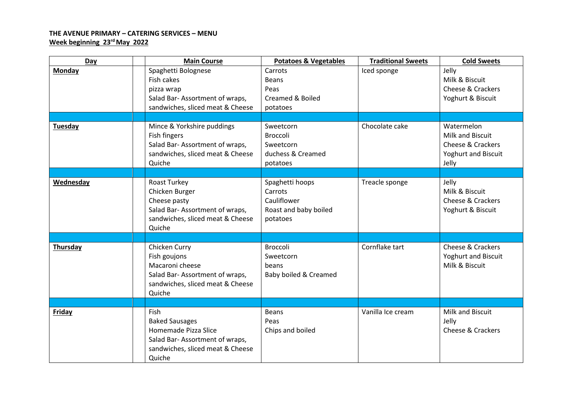### **THE AVENUE PRIMARY – CATERING SERVICES – MENU Week beginning 23rd May 2022**

| Day           | <b>Main Course</b>                                                                                                                    | <b>Potatoes &amp; Vegetables</b>                                               | <b>Traditional Sweets</b> | <b>Cold Sweets</b>                                                                             |
|---------------|---------------------------------------------------------------------------------------------------------------------------------------|--------------------------------------------------------------------------------|---------------------------|------------------------------------------------------------------------------------------------|
| Monday        | Spaghetti Bolognese<br>Fish cakes<br>pizza wrap<br>Salad Bar-Assortment of wraps,<br>sandwiches, sliced meat & Cheese                 | Carrots<br><b>Beans</b><br>Peas<br>Creamed & Boiled<br>potatoes                | Iced sponge               | Jelly<br>Milk & Biscuit<br><b>Cheese &amp; Crackers</b><br>Yoghurt & Biscuit                   |
|               |                                                                                                                                       |                                                                                |                           |                                                                                                |
| Tuesday       | Mince & Yorkshire puddings<br>Fish fingers<br>Salad Bar-Assortment of wraps,<br>sandwiches, sliced meat & Cheese<br>Quiche            | Sweetcorn<br><b>Broccoli</b><br>Sweetcorn<br>duchess & Creamed<br>potatoes     | Chocolate cake            | Watermelon<br>Milk and Biscuit<br><b>Cheese &amp; Crackers</b><br>Yoghurt and Biscuit<br>Jelly |
|               |                                                                                                                                       |                                                                                |                           |                                                                                                |
| Wednesday     | Roast Turkey<br>Chicken Burger<br>Cheese pasty<br>Salad Bar-Assortment of wraps,<br>sandwiches, sliced meat & Cheese<br>Quiche        | Spaghetti hoops<br>Carrots<br>Cauliflower<br>Roast and baby boiled<br>potatoes | Treacle sponge            | Jelly<br>Milk & Biscuit<br><b>Cheese &amp; Crackers</b><br>Yoghurt & Biscuit                   |
|               |                                                                                                                                       |                                                                                |                           |                                                                                                |
| Thursday      | Chicken Curry<br>Fish goujons<br>Macaroni cheese<br>Salad Bar-Assortment of wraps,<br>sandwiches, sliced meat & Cheese<br>Quiche      | Broccoli<br>Sweetcorn<br>beans<br>Baby boiled & Creamed                        | Cornflake tart            | Cheese & Crackers<br><b>Yoghurt and Biscuit</b><br>Milk & Biscuit                              |
|               |                                                                                                                                       |                                                                                |                           |                                                                                                |
| <b>Friday</b> | Fish<br><b>Baked Sausages</b><br>Homemade Pizza Slice<br>Salad Bar-Assortment of wraps,<br>sandwiches, sliced meat & Cheese<br>Quiche | <b>Beans</b><br>Peas<br>Chips and boiled                                       | Vanilla Ice cream         | Milk and Biscuit<br>Jelly<br><b>Cheese &amp; Crackers</b>                                      |